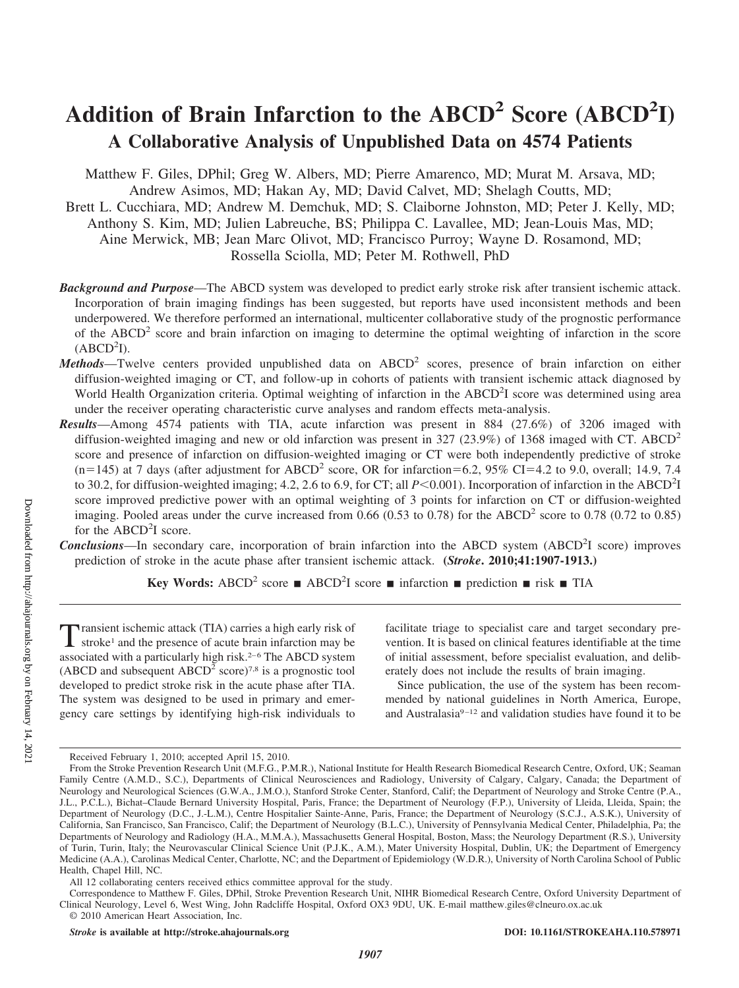# Addition of Brain Infarction to the ABCD<sup>2</sup> Score (ABCD<sup>2</sup>I) **A Collaborative Analysis of Unpublished Data on 4574 Patients**

Matthew F. Giles, DPhil; Greg W. Albers, MD; Pierre Amarenco, MD; Murat M. Arsava, MD; Andrew Asimos, MD; Hakan Ay, MD; David Calvet, MD; Shelagh Coutts, MD; Brett L. Cucchiara, MD; Andrew M. Demchuk, MD; S. Claiborne Johnston, MD; Peter J. Kelly, MD; Anthony S. Kim, MD; Julien Labreuche, BS; Philippa C. Lavallee, MD; Jean-Louis Mas, MD; Aine Merwick, MB; Jean Marc Olivot, MD; Francisco Purroy; Wayne D. Rosamond, MD; Rossella Sciolla, MD; Peter M. Rothwell, PhD

- *Background and Purpose*—The ABCD system was developed to predict early stroke risk after transient ischemic attack. Incorporation of brain imaging findings has been suggested, but reports have used inconsistent methods and been underpowered. We therefore performed an international, multicenter collaborative study of the prognostic performance of the  $ABCD<sup>2</sup>$  score and brain infarction on imaging to determine the optimal weighting of infarction in the score  $(ABCD<sup>2</sup>I).$
- *Methods*—Twelve centers provided unpublished data on ABCD<sup>2</sup> scores, presence of brain infarction on either diffusion-weighted imaging or CT, and follow-up in cohorts of patients with transient ischemic attack diagnosed by World Health Organization criteria. Optimal weighting of infarction in the ABCD<sup>2</sup>I score was determined using area under the receiver operating characteristic curve analyses and random effects meta-analysis.
- *Results*—Among 4574 patients with TIA, acute infarction was present in 884 (27.6%) of 3206 imaged with diffusion-weighted imaging and new or old infarction was present in 327 (23.9%) of 1368 imaged with CT. ABCD<sup>2</sup> score and presence of infarction on diffusion-weighted imaging or CT were both independently predictive of stroke  $(n=145)$  at 7 days (after adjustment for ABCD<sup>2</sup> score, OR for infarction=6.2, 95% CI=4.2 to 9.0, overall; 14.9, 7.4 to 30.2, for diffusion-weighted imaging; 4.2, 2.6 to 6.9, for CT; all  $P \le 0.001$ ). Incorporation of infarction in the ABCD<sup>2</sup>I score improved predictive power with an optimal weighting of 3 points for infarction on CT or diffusion-weighted imaging. Pooled areas under the curve increased from  $0.66$  ( $0.53$  to  $0.78$ ) for the ABCD<sup>2</sup> score to  $0.78$  ( $0.72$  to  $0.85$ ) for the ABCD<sup>2</sup>I score.
- **Conclusions**—In secondary care, incorporation of brain infarction into the ABCD system (ABCD<sup>2</sup>I score) improves prediction of stroke in the acute phase after transient ischemic attack. **(***Stroke***. 2010;41:1907-1913.)**

**Key Words:** ABCD<sup>2</sup> score **n** ABCD<sup>2</sup>I score **n** infarction **n** prediction **n** risk **n** TIA

Transient ischemic attack (TIA) carries a high early risk of stroke<sup>1</sup> and the presence of acute brain infarction may be associated with a particularly high risk.<sup>2-6</sup> The ABCD system (ABCD and subsequent  $ABCD<sup>2</sup>$  score)<sup>7,8</sup> is a prognostic tool developed to predict stroke risk in the acute phase after TIA. The system was designed to be used in primary and emergency care settings by identifying high-risk individuals to

facilitate triage to specialist care and target secondary prevention. It is based on clinical features identifiable at the time of initial assessment, before specialist evaluation, and deliberately does not include the results of brain imaging.

Since publication, the use of the system has been recommended by national guidelines in North America, Europe, and Australasia<sup>9-12</sup> and validation studies have found it to be

Received February 1, 2010; accepted April 15, 2010.

From the Stroke Prevention Research Unit (M.F.G., P.M.R.), National Institute for Health Research Biomedical Research Centre, Oxford, UK; Seaman Family Centre (A.M.D., S.C.), Departments of Clinical Neurosciences and Radiology, University of Calgary, Calgary, Canada; the Department of Neurology and Neurological Sciences (G.W.A., J.M.O.), Stanford Stroke Center, Stanford, Calif; the Department of Neurology and Stroke Centre (P.A., J.L., P.C.L.), Bichat–Claude Bernard University Hospital, Paris, France; the Department of Neurology (F.P.), University of Lleida, Lleida, Spain; the Department of Neurology (D.C., J.-L.M.), Centre Hospitalier Sainte-Anne, Paris, France; the Department of Neurology (S.C.J., A.S.K.), University of California, San Francisco, San Francisco, Calif; the Department of Neurology (B.L.C.), University of Pennsylvania Medical Center, Philadelphia, Pa; the Departments of Neurology and Radiology (H.A., M.M.A.), Massachusetts General Hospital, Boston, Mass; the Neurology Department (R.S.), University of Turin, Turin, Italy; the Neurovascular Clinical Science Unit (P.J.K., A.M.), Mater University Hospital, Dublin, UK; the Department of Emergency Medicine (A.A.), Carolinas Medical Center, Charlotte, NC; and the Department of Epidemiology (W.D.R.), University of North Carolina School of Public Health, Chapel Hill, NC.

All 12 collaborating centers received ethics committee approval for the study.

Correspondence to Matthew F. Giles, DPhil, Stroke Prevention Research Unit, NIHR Biomedical Research Centre, Oxford University Department of Clinical Neurology, Level 6, West Wing, John Radcliffe Hospital, Oxford OX3 9DU, UK. E-mail matthew.giles@clneuro.ox.ac.uk © 2010 American Heart Association, Inc.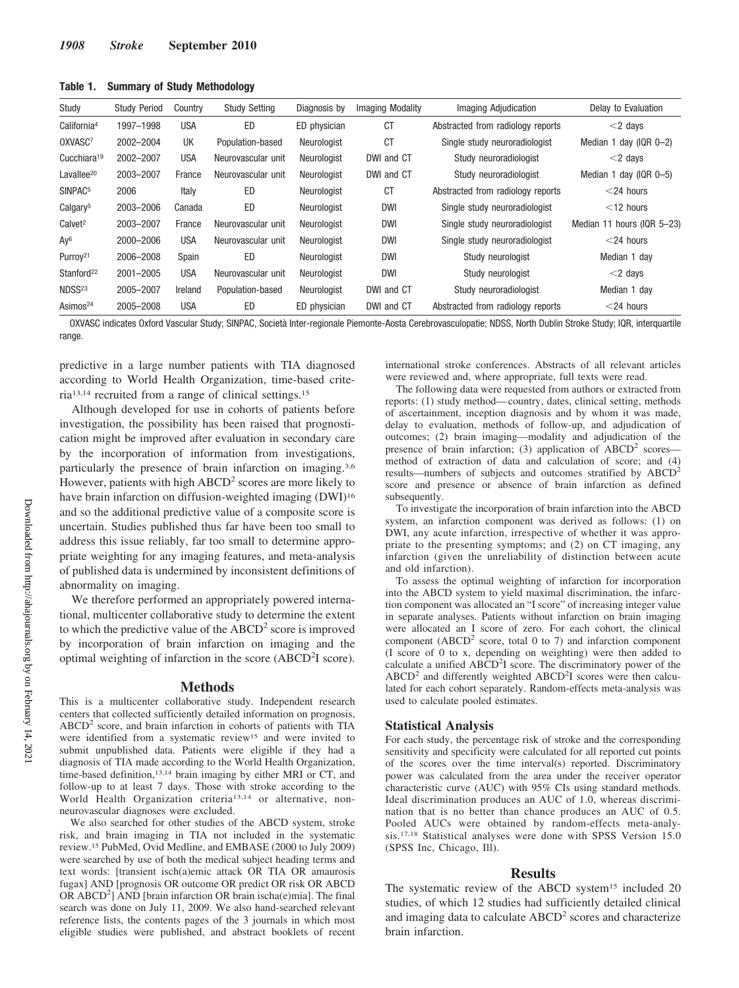| Study                   | <b>Study Period</b> | Country    | <b>Study Setting</b> | Diagnosis by | <b>Imaging Modality</b> | Imaging Adjudication              | Delay to Evaluation               |
|-------------------------|---------------------|------------|----------------------|--------------|-------------------------|-----------------------------------|-----------------------------------|
| California <sup>4</sup> | 1997-1998           | <b>USA</b> | ED                   | ED physician | <b>CT</b>               | Abstracted from radiology reports | $<$ 2 days                        |
| OXVASC7                 | 2002-2004           | UK         | Population-based     | Neurologist  | <b>CT</b>               | Single study neuroradiologist     | Median 1 day ( $QR$ $Q-2$ )       |
| Cucchiara <sup>19</sup> | 2002-2007           | <b>USA</b> | Neurovascular unit   | Neurologist  | DWI and CT              | Study neuroradiologist            | $<$ 2 days                        |
| Lavallee <sup>20</sup>  | 2003-2007           | France     | Neurovascular unit   | Neurologist  | DWI and CT              | Study neuroradiologist            | Median 1 day ( $ QR O - 5\rangle$ |
| SINPAC <sup>5</sup>     | 2006                | Italy      | ED                   | Neurologist  | <b>CT</b>               | Abstracted from radiology reports | $<$ 24 hours                      |
| Calgary <sup>5</sup>    | 2003-2006           | Canada     | ED                   | Neurologist  | <b>DWI</b>              | Single study neuroradiologist     | $<$ 12 hours                      |
| Calvet <sup>2</sup>     | 2003-2007           | France     | Neurovascular unit   | Neurologist  | <b>DWI</b>              | Single study neuroradiologist     | Median 11 hours (IQR 5-23)        |
| Ay <sup>6</sup>         | 2000-2006           | <b>USA</b> | Neurovascular unit   | Neurologist  | <b>DWI</b>              | Single study neuroradiologist     | $<$ 24 hours                      |
| Purroy <sup>21</sup>    | 2006-2008           | Spain      | ED                   | Neurologist  | <b>DWI</b>              | Study neurologist                 | Median 1 day                      |
| Stanford <sup>22</sup>  | 2001-2005           | <b>USA</b> | Neurovascular unit   | Neurologist  | <b>DWI</b>              | Study neurologist                 | $<$ 2 days                        |
| NDSS <sup>23</sup>      | 2005-2007           | Ireland    | Population-based     | Neurologist  | DWI and CT              | Study neuroradiologist            | Median 1 day                      |
| Asimos <sup>24</sup>    | 2005-2008           | <b>USA</b> | ED                   | ED physician | DWI and CT              | Abstracted from radiology reports | $<$ 24 hours                      |

**Table 1. Summary of Study Methodology**

OXVASC indicates Oxford Vascular Study; SINPAC, Società Inter-regionale Piemonte-Aosta Cerebrovasculopatie; NDSS, North Dublin Stroke Study; IQR, interquartile range.

predictive in a large number patients with TIA diagnosed according to World Health Organization, time-based criteria13,14 recruited from a range of clinical settings.15

Although developed for use in cohorts of patients before investigation, the possibility has been raised that prognostication might be improved after evaluation in secondary care by the incorporation of information from investigations, particularly the presence of brain infarction on imaging.3,6 However, patients with high  $ABCD<sup>2</sup>$  scores are more likely to have brain infarction on diffusion-weighted imaging (DWI)<sup>16</sup> and so the additional predictive value of a composite score is uncertain. Studies published thus far have been too small to address this issue reliably, far too small to determine appropriate weighting for any imaging features, and meta-analysis of published data is undermined by inconsistent definitions of abnormality on imaging.

We therefore performed an appropriately powered international, multicenter collaborative study to determine the extent to which the predictive value of the  $ABCD<sup>2</sup>$  score is improved by incorporation of brain infarction on imaging and the optimal weighting of infarction in the score (ABCD<sup>2</sup>I score).

#### **Methods**

This is a multicenter collaborative study. Independent research centers that collected sufficiently detailed information on prognosis,  $ABCD<sup>2</sup>$  score, and brain infarction in cohorts of patients with TIA were identified from a systematic review<sup>15</sup> and were invited to submit unpublished data. Patients were eligible if they had a diagnosis of TIA made according to the World Health Organization, time-based definition,13,14 brain imaging by either MRI or CT, and follow-up to at least 7 days. Those with stroke according to the World Health Organization criteria<sup>13,14</sup> or alternative, nonneurovascular diagnoses were excluded.

We also searched for other studies of the ABCD system, stroke risk, and brain imaging in TIA not included in the systematic review.15 PubMed, Ovid Medline, and EMBASE (2000 to July 2009) were searched by use of both the medical subject heading terms and text words: [transient isch(a)emic attack OR TIA OR amaurosis fugax] AND [prognosis OR outcome OR predict OR risk OR ABCD OR ABCD<sup>2</sup>] AND [brain infarction OR brain ischa(e)mia]. The final search was done on July 11, 2009. We also hand-searched relevant reference lists, the contents pages of the 3 journals in which most eligible studies were published, and abstract booklets of recent international stroke conferences. Abstracts of all relevant articles were reviewed and, where appropriate, full texts were read.

The following data were requested from authors or extracted from reports: (1) study method— country, dates, clinical setting, methods of ascertainment, inception diagnosis and by whom it was made, delay to evaluation, methods of follow-up, and adjudication of outcomes; (2) brain imaging—modality and adjudication of the presence of brain infarction; (3) application of  $ABCD^2$  scores method of extraction of data and calculation of score; and (4) results—numbers of subjects and outcomes stratified by ABCD2 score and presence or absence of brain infarction as defined subsequently.

To investigate the incorporation of brain infarction into the ABCD system, an infarction component was derived as follows: (1) on DWI, any acute infarction, irrespective of whether it was appropriate to the presenting symptoms; and (2) on CT imaging, any infarction (given the unreliability of distinction between acute and old infarction).

To assess the optimal weighting of infarction for incorporation into the ABCD system to yield maximal discrimination, the infarction component was allocated an "I score" of increasing integer value in separate analyses. Patients without infarction on brain imaging were allocated an I score of zero. For each cohort, the clinical component (ABCD<sup>2</sup> score, total 0 to 7) and infarction component (I score of 0 to x, depending on weighting) were then added to calculate a unified ABCD<sup>2</sup>I score. The discriminatory power of the  $ABCD<sup>2</sup>$  and differently weighted  $ABCD<sup>2</sup>I$  scores were then calculated for each cohort separately. Random-effects meta-analysis was used to calculate pooled estimates.

# **Statistical Analysis**

For each study, the percentage risk of stroke and the corresponding sensitivity and specificity were calculated for all reported cut points of the scores over the time interval(s) reported. Discriminatory power was calculated from the area under the receiver operator characteristic curve (AUC) with 95% CIs using standard methods. Ideal discrimination produces an AUC of 1.0, whereas discrimination that is no better than chance produces an AUC of 0.5. Pooled AUCs were obtained by random-effects meta-analysis.17,18 Statistical analyses were done with SPSS Version 15.0 (SPSS Inc, Chicago, Ill).

#### **Results**

The systematic review of the ABCD system<sup>15</sup> included 20 studies, of which 12 studies had sufficiently detailed clinical and imaging data to calculate  $ABCD<sup>2</sup>$  scores and characterize brain infarction.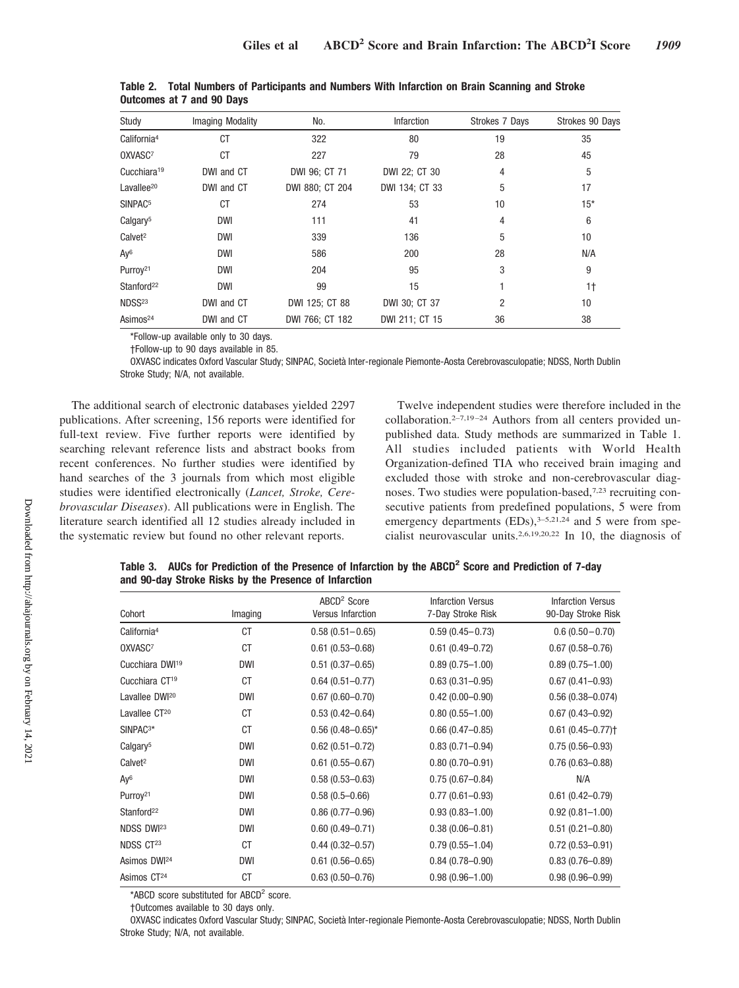| Study                   | Imaging Modality | No.             | <b>Infarction</b> | Strokes 7 Days | Strokes 90 Days |
|-------------------------|------------------|-----------------|-------------------|----------------|-----------------|
| California <sup>4</sup> | CT               | 322             | 80                | 19             | 35              |
| OXVASC7                 | СT               | 227             | 79                | 28             | 45              |
| Cucchiara <sup>19</sup> | DWI and CT       | DWI 96; CT 71   | DWI 22; CT 30     | 4              | 5               |
| Lavallee <sup>20</sup>  | DWI and CT       | DWI 880; CT 204 | DWI 134; CT 33    | 5              | 17              |
| SINPAC <sup>5</sup>     | CT               | 274             | 53                | 10             | $15*$           |
| Calgary <sup>5</sup>    | <b>DWI</b>       | 111             | 41                | 4              | 6               |
| Calvet <sup>2</sup>     | <b>DWI</b>       | 339             | 136               | 5              | 10              |
| Ay <sup>6</sup>         | <b>DWI</b>       | 586             | 200               | 28             | N/A             |
| Purroy <sup>21</sup>    | <b>DWI</b>       | 204             | 95                | 3              | 9               |
| Stanford <sup>22</sup>  | <b>DWI</b>       | 99              | 15                |                | 1 <sup>†</sup>  |
| NDSS <sup>23</sup>      | DWI and CT       | DWI 125; CT 88  | DWI 30; CT 37     | 2              | 10              |
| Asimos <sup>24</sup>    | DWI and CT       | DWI 766; CT 182 | DWI 211; CT 15    | 36             | 38              |

**Table 2. Total Numbers of Participants and Numbers With Infarction on Brain Scanning and Stroke Outcomes at 7 and 90 Days**

\*Follow-up available only to 30 days.

†Follow-up to 90 days available in 85.

OXVASC indicates Oxford Vascular Study; SINPAC, Società Inter-regionale Piemonte-Aosta Cerebrovasculopatie; NDSS, North Dublin Stroke Study; N/A, not available.

The additional search of electronic databases yielded 2297 publications. After screening, 156 reports were identified for full-text review. Five further reports were identified by searching relevant reference lists and abstract books from recent conferences. No further studies were identified by hand searches of the 3 journals from which most eligible studies were identified electronically (*Lancet, Stroke, Cerebrovascular Diseases*). All publications were in English. The literature search identified all 12 studies already included in the systematic review but found no other relevant reports.

Twelve independent studies were therefore included in the collaboration.<sup>2-7,19-24</sup> Authors from all centers provided unpublished data. Study methods are summarized in Table 1. All studies included patients with World Health Organization-defined TIA who received brain imaging and excluded those with stroke and non-cerebrovascular diagnoses. Two studies were population-based,7,23 recruiting consecutive patients from predefined populations, 5 were from emergency departments  $(EDs)$ ,<sup>3-5,21,24</sup> and 5 were from specialist neurovascular units.2,6,19,20,22 In 10, the diagnosis of

| Table 3. AUCs for Prediction of the Presence of Infarction by the ABCD <sup>2</sup> Score and Prediction of 7-day |  |  |  |
|-------------------------------------------------------------------------------------------------------------------|--|--|--|
| and 90-day Stroke Risks by the Presence of Infarction                                                             |  |  |  |

| Cohort                      | Imaging    | $ABCD2$ Score<br><b>Versus Infarction</b> | <b>Infarction Versus</b><br>7-Day Stroke Risk | <b>Infarction Versus</b><br>90-Day Stroke Risk |
|-----------------------------|------------|-------------------------------------------|-----------------------------------------------|------------------------------------------------|
| California <sup>4</sup>     | <b>CT</b>  | $0.58(0.51 - 0.65)$                       | $0.59(0.45 - 0.73)$                           | $0.6(0.50 - 0.70)$                             |
| OXVASC7                     | <b>CT</b>  | $0.61(0.53 - 0.68)$                       | $0.61(0.49 - 0.72)$                           | $0.67(0.58 - 0.76)$                            |
| Cucchiara DWI <sup>19</sup> | <b>DWI</b> | $0.51(0.37 - 0.65)$                       | $0.89(0.75 - 1.00)$                           | $0.89(0.75 - 1.00)$                            |
| Cucchiara CT <sup>19</sup>  | <b>CT</b>  | $0.64(0.51 - 0.77)$                       | $0.63(0.31 - 0.95)$                           | $0.67(0.41 - 0.93)$                            |
| Lavallee DWI <sup>20</sup>  | <b>DWI</b> | $0.67(0.60 - 0.70)$                       | $0.42(0.00 - 0.90)$                           | $0.56(0.38 - 0.074)$                           |
| Lavallee CT <sup>20</sup>   | <b>CT</b>  | $0.53(0.42 - 0.64)$                       | $0.80(0.55 - 1.00)$                           | $0.67(0.43 - 0.92)$                            |
| SINPAC <sup>3*</sup>        | <b>CT</b>  | $0.56$ (0.48-0.65)*                       | $0.66(0.47 - 0.85)$                           | $0.61(0.45 - 0.77)$                            |
| Calgary <sup>5</sup>        | <b>DWI</b> | $0.62(0.51 - 0.72)$                       | $0.83(0.71 - 0.94)$                           | $0.75(0.56 - 0.93)$                            |
| Calvet <sup>2</sup>         | <b>DWI</b> | $0.61(0.55 - 0.67)$                       | $0.80(0.70 - 0.91)$                           | $0.76(0.63 - 0.88)$                            |
| Ay <sup>6</sup>             | <b>DWI</b> | $0.58(0.53 - 0.63)$                       | $0.75(0.67 - 0.84)$                           | N/A                                            |
| Purroy <sup>21</sup>        | <b>DWI</b> | $0.58(0.5 - 0.66)$                        | $0.77(0.61 - 0.93)$                           | $0.61(0.42 - 0.79)$                            |
| Stanford <sup>22</sup>      | <b>DWI</b> | $0.86(0.77-0.96)$                         | $0.93(0.83 - 1.00)$                           | $0.92(0.81 - 1.00)$                            |
| NDSS DWI <sup>23</sup>      | <b>DWI</b> | $0.60(0.49 - 0.71)$                       | $0.38(0.06 - 0.81)$                           | $0.51(0.21 - 0.80)$                            |
| NDSS CT <sup>23</sup>       | <b>CT</b>  | $0.44(0.32 - 0.57)$                       | $0.79(0.55 - 1.04)$                           | $0.72(0.53 - 0.91)$                            |
| Asimos DWI <sup>24</sup>    | <b>DWI</b> | $0.61(0.56 - 0.65)$                       | $0.84(0.78 - 0.90)$                           | $0.83(0.76 - 0.89)$                            |
| Asimos CT <sup>24</sup>     | <b>CT</b>  | $0.63(0.50 - 0.76)$                       | $0.98(0.96 - 1.00)$                           | $0.98(0.96 - 0.99)$                            |

\*ABCD score substituted for ABCD<sup>2</sup> score.

†Outcomes available to 30 days only.

OXVASC indicates Oxford Vascular Study; SINPAC, Società Inter-regionale Piemonte-Aosta Cerebrovasculopatie; NDSS, North Dublin Stroke Study; N/A, not available.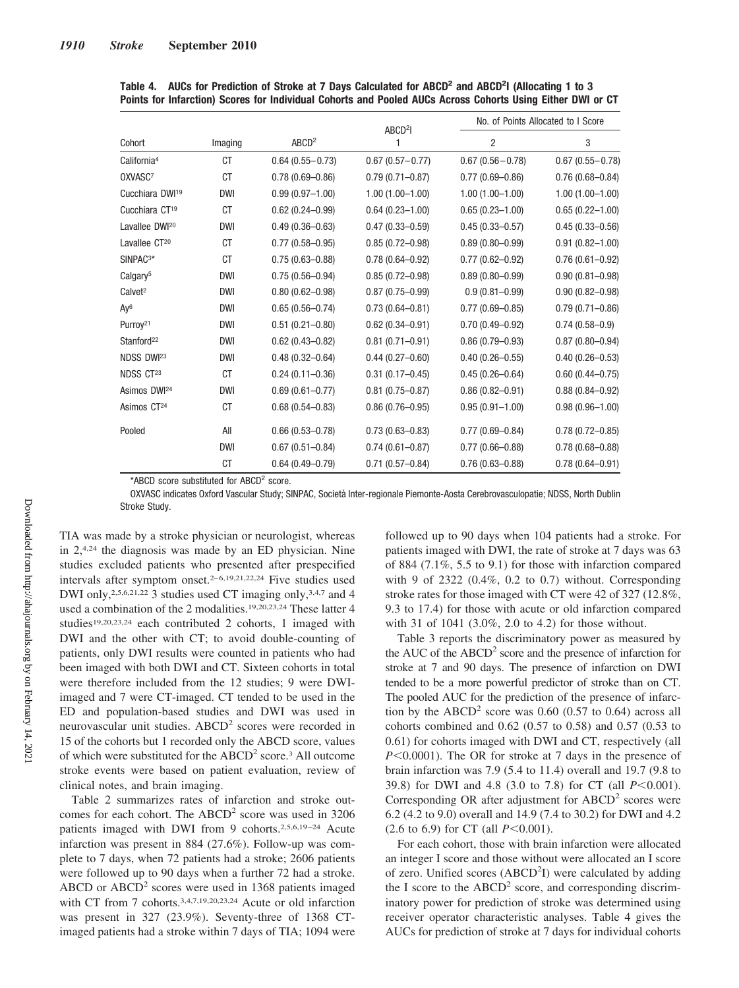|                             |            |                     | ABCD <sup>2</sup> I | No. of Points Allocated to I Score |                     |  |  |
|-----------------------------|------------|---------------------|---------------------|------------------------------------|---------------------|--|--|
| Cohort                      | Imaging    | ABCD <sup>2</sup>   | 1                   | $\overline{2}$                     | 3                   |  |  |
| California <sup>4</sup>     | <b>CT</b>  | $0.64(0.55 - 0.73)$ | $0.67(0.57 - 0.77)$ | $0.67(0.56 - 0.78)$                | $0.67(0.55 - 0.78)$ |  |  |
| OXVASC7                     | СT         | $0.78(0.69 - 0.86)$ | $0.79(0.71 - 0.87)$ | $0.77(0.69 - 0.86)$                | $0.76(0.68 - 0.84)$ |  |  |
| Cucchiara DWI <sup>19</sup> | <b>DWI</b> | $0.99(0.97 - 1.00)$ | $1.00(1.00 - 1.00)$ | $1.00(1.00 - 1.00)$                | $1.00(1.00 - 1.00)$ |  |  |
| Cucchiara CT <sup>19</sup>  | <b>CT</b>  | $0.62(0.24 - 0.99)$ | $0.64(0.23 - 1.00)$ | $0.65(0.23 - 1.00)$                | $0.65(0.22 - 1.00)$ |  |  |
| Lavallee DWI <sup>20</sup>  | <b>DWI</b> | $0.49(0.36 - 0.63)$ | $0.47(0.33 - 0.59)$ | $0.45(0.33 - 0.57)$                | $0.45(0.33 - 0.56)$ |  |  |
| Lavallee CT <sup>20</sup>   | СT         | $0.77(0.58 - 0.95)$ | $0.85(0.72 - 0.98)$ | $0.89(0.80 - 0.99)$                | $0.91(0.82 - 1.00)$ |  |  |
| SINPAC <sup>3*</sup>        | СT         | $0.75(0.63 - 0.88)$ | $0.78(0.64 - 0.92)$ | $0.77(0.62 - 0.92)$                | $0.76(0.61 - 0.92)$ |  |  |
| Calgary <sup>5</sup>        | <b>DWI</b> | $0.75(0.56 - 0.94)$ | $0.85(0.72 - 0.98)$ | $0.89(0.80 - 0.99)$                | $0.90(0.81 - 0.98)$ |  |  |
| Calvet <sup>2</sup>         | <b>DWI</b> | $0.80(0.62 - 0.98)$ | $0.87(0.75 - 0.99)$ | $0.9(0.81 - 0.99)$                 | $0.90(0.82 - 0.98)$ |  |  |
| Ay <sup>6</sup>             | <b>DWI</b> | $0.65(0.56 - 0.74)$ | $0.73(0.64 - 0.81)$ | $0.77(0.69 - 0.85)$                | $0.79(0.71 - 0.86)$ |  |  |
| Purroy <sup>21</sup>        | <b>DWI</b> | $0.51(0.21 - 0.80)$ | $0.62(0.34 - 0.91)$ | $0.70(0.49 - 0.92)$                | $0.74(0.58 - 0.9)$  |  |  |
| Stanford <sup>22</sup>      | <b>DWI</b> | $0.62(0.43 - 0.82)$ | $0.81(0.71 - 0.91)$ | $0.86(0.79 - 0.93)$                | $0.87(0.80 - 0.94)$ |  |  |
| NDSS DWI <sup>23</sup>      | <b>DWI</b> | $0.48(0.32 - 0.64)$ | $0.44(0.27 - 0.60)$ | $0.40(0.26 - 0.55)$                | $0.40(0.26 - 0.53)$ |  |  |
| NDSS CT23                   | <b>CT</b>  | $0.24(0.11 - 0.36)$ | $0.31(0.17 - 0.45)$ | $0.45(0.26 - 0.64)$                | $0.60(0.44 - 0.75)$ |  |  |
| Asimos DWI <sup>24</sup>    | <b>DWI</b> | $0.69(0.61 - 0.77)$ | $0.81(0.75 - 0.87)$ | $0.86(0.82 - 0.91)$                | $0.88(0.84 - 0.92)$ |  |  |
| Asimos CT <sup>24</sup>     | СT         | $0.68(0.54 - 0.83)$ | $0.86(0.76 - 0.95)$ | $0.95(0.91 - 1.00)$                | $0.98(0.96 - 1.00)$ |  |  |
| Pooled                      | All        | $0.66(0.53 - 0.78)$ | $0.73(0.63 - 0.83)$ | $0.77(0.69 - 0.84)$                | $0.78(0.72 - 0.85)$ |  |  |
|                             | <b>DWI</b> | $0.67(0.51 - 0.84)$ | $0.74(0.61 - 0.87)$ | $0.77(0.66 - 0.88)$                | $0.78(0.68 - 0.88)$ |  |  |
|                             | <b>CT</b>  | $0.64(0.49 - 0.79)$ | $0.71(0.57 - 0.84)$ | $0.76(0.63 - 0.88)$                | $0.78(0.64 - 0.91)$ |  |  |

|  | Table 4. AUCs for Prediction of Stroke at 7 Days Calculated for ABCD <sup>2</sup> and ABCD <sup>2</sup> l (Allocating 1 to 3 |  |  |  |  |  |
|--|------------------------------------------------------------------------------------------------------------------------------|--|--|--|--|--|
|  | Points for Infarction) Scores for Individual Cohorts and Pooled AUCs Across Cohorts Using Either DWI or CT                   |  |  |  |  |  |

\*ABCD score substituted for ABCD<sup>2</sup> score.

OXVASC indicates Oxford Vascular Study; SINPAC, Società Inter-regionale Piemonte-Aosta Cerebrovasculopatie; NDSS, North Dublin Stroke Study.

TIA was made by a stroke physician or neurologist, whereas in 2,4,24 the diagnosis was made by an ED physician. Nine studies excluded patients who presented after prespecified intervals after symptom onset.<sup>2-6,19,21,22,24</sup> Five studies used DWI only,<sup>2,5,6,21,22</sup> 3 studies used CT imaging only,<sup>3,4,7</sup> and 4 used a combination of the 2 modalities.19,20,23,24 These latter 4 studies19,20,23,24 each contributed 2 cohorts, 1 imaged with DWI and the other with CT; to avoid double-counting of patients, only DWI results were counted in patients who had been imaged with both DWI and CT. Sixteen cohorts in total were therefore included from the 12 studies; 9 were DWIimaged and 7 were CT-imaged. CT tended to be used in the ED and population-based studies and DWI was used in neurovascular unit studies. ABCD<sup>2</sup> scores were recorded in 15 of the cohorts but 1 recorded only the ABCD score, values of which were substituted for the ABCD<sup>2</sup> score.<sup>3</sup> All outcome stroke events were based on patient evaluation, review of clinical notes, and brain imaging.

Table 2 summarizes rates of infarction and stroke outcomes for each cohort. The  $ABCD<sup>2</sup>$  score was used in 3206 patients imaged with DWI from 9 cohorts.<sup>2,5,6,19-24</sup> Acute infarction was present in 884 (27.6%). Follow-up was complete to 7 days, when 72 patients had a stroke; 2606 patients were followed up to 90 days when a further 72 had a stroke. ABCD or  $ABCD<sup>2</sup>$  scores were used in 1368 patients imaged with CT from 7 cohorts.<sup>3,4,7,19,20,23,24</sup> Acute or old infarction was present in 327 (23.9%). Seventy-three of 1368 CTimaged patients had a stroke within 7 days of TIA; 1094 were

followed up to 90 days when 104 patients had a stroke. For patients imaged with DWI, the rate of stroke at 7 days was 63 of 884 (7.1%, 5.5 to 9.1) for those with infarction compared with 9 of 2322 (0.4%, 0.2 to 0.7) without. Corresponding stroke rates for those imaged with CT were 42 of 327 (12.8%, 9.3 to 17.4) for those with acute or old infarction compared with 31 of 1041 (3.0%, 2.0 to 4.2) for those without.

Table 3 reports the discriminatory power as measured by the AUC of the  $ABCD<sup>2</sup>$  score and the presence of infarction for stroke at 7 and 90 days. The presence of infarction on DWI tended to be a more powerful predictor of stroke than on CT. The pooled AUC for the prediction of the presence of infarction by the  $ABCD<sup>2</sup>$  score was 0.60 (0.57 to 0.64) across all cohorts combined and 0.62 (0.57 to 0.58) and 0.57 (0.53 to 0.61) for cohorts imaged with DWI and CT, respectively (all *P*<0.0001). The OR for stroke at 7 days in the presence of brain infarction was 7.9 (5.4 to 11.4) overall and 19.7 (9.8 to 39.8) for DWI and 4.8 (3.0 to 7.8) for CT (all *P*<0.001). Corresponding OR after adjustment for  $ABCD<sup>2</sup>$  scores were 6.2 (4.2 to 9.0) overall and 14.9 (7.4 to 30.2) for DWI and 4.2  $(2.6 \text{ to } 6.9)$  for CT (all  $P \le 0.001$ ).

For each cohort, those with brain infarction were allocated an integer I score and those without were allocated an I score of zero. Unified scores (ABCD<sup>2</sup>I) were calculated by adding the I score to the  $ABCD<sup>2</sup>$  score, and corresponding discriminatory power for prediction of stroke was determined using receiver operator characteristic analyses. Table 4 gives the AUCs for prediction of stroke at 7 days for individual cohorts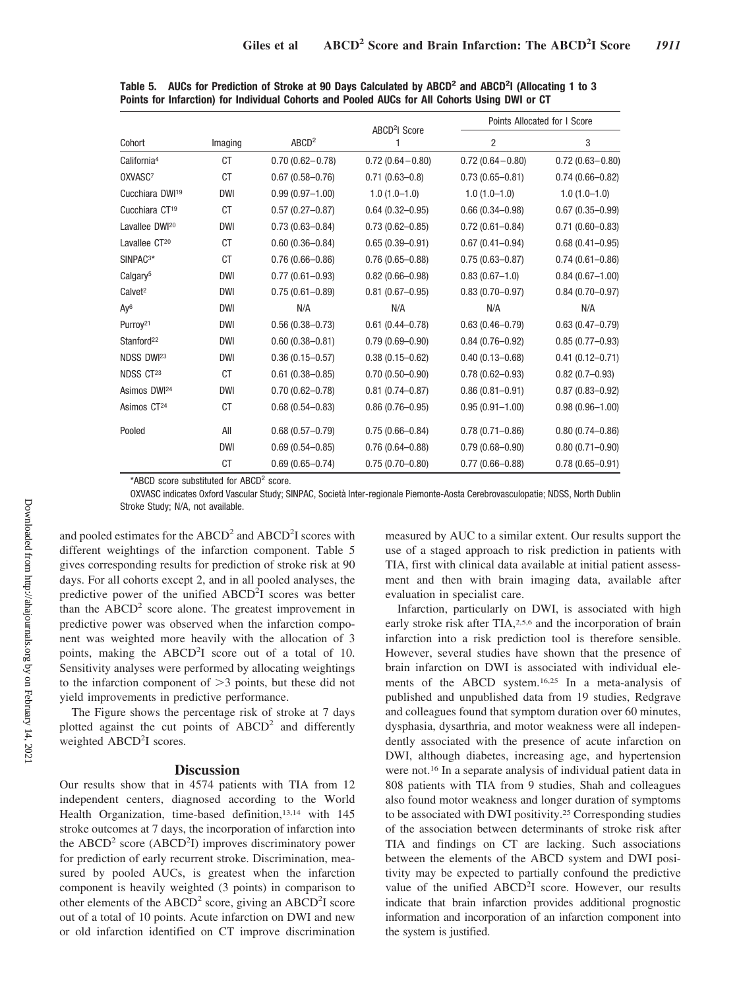|                             |            |                     | ABCD <sup>2</sup> I Score |                     | Points Allocated for I Score |
|-----------------------------|------------|---------------------|---------------------------|---------------------|------------------------------|
| Cohort                      | Imaging    | ABCD <sup>2</sup>   |                           | $\overline{2}$      | 3                            |
| California <sup>4</sup>     | <b>CT</b>  | $0.70(0.62 - 0.78)$ | $0.72(0.64 - 0.80)$       | $0.72(0.64 - 0.80)$ | $0.72(0.63 - 0.80)$          |
| OXVASC7                     | CT         | $0.67(0.58 - 0.76)$ | $0.71(0.63 - 0.8)$        | $0.73(0.65 - 0.81)$ | $0.74(0.66 - 0.82)$          |
| Cucchiara DWI <sup>19</sup> | <b>DWI</b> | $0.99(0.97 - 1.00)$ | $1.0(1.0-1.0)$            | $1.0(1.0-1.0)$      | $1.0(1.0-1.0)$               |
| Cucchiara CT <sup>19</sup>  | СT         | $0.57(0.27 - 0.87)$ | $0.64(0.32 - 0.95)$       | $0.66(0.34 - 0.98)$ | $0.67(0.35 - 0.99)$          |
| Lavallee DWI <sup>20</sup>  | <b>DWI</b> | $0.73(0.63 - 0.84)$ | $0.73(0.62 - 0.85)$       | $0.72(0.61 - 0.84)$ | $0.71(0.60 - 0.83)$          |
| Lavallee CT <sup>20</sup>   | СT         | $0.60(0.36 - 0.84)$ | $0.65(0.39 - 0.91)$       | $0.67(0.41 - 0.94)$ | $0.68(0.41 - 0.95)$          |
| SINPAC <sup>3*</sup>        | СT         | $0.76(0.66 - 0.86)$ | $0.76(0.65 - 0.88)$       | $0.75(0.63 - 0.87)$ | $0.74(0.61 - 0.86)$          |
| Calgary <sup>5</sup>        | <b>DWI</b> | $0.77(0.61 - 0.93)$ | $0.82(0.66 - 0.98)$       | $0.83(0.67-1.0)$    | $0.84(0.67 - 1.00)$          |
| Calvet <sup>2</sup>         | DWI        | $0.75(0.61 - 0.89)$ | $0.81(0.67 - 0.95)$       | $0.83(0.70 - 0.97)$ | $0.84(0.70 - 0.97)$          |
| Ay <sup>6</sup>             | DWI        | N/A                 | N/A                       | N/A                 | N/A                          |
| Purroy <sup>21</sup>        | <b>DWI</b> | $0.56(0.38 - 0.73)$ | $0.61(0.44 - 0.78)$       | $0.63(0.46 - 0.79)$ | $0.63(0.47 - 0.79)$          |
| Stanford <sup>22</sup>      | DWI        | $0.60(0.38 - 0.81)$ | $0.79(0.69 - 0.90)$       | $0.84(0.76 - 0.92)$ | $0.85(0.77-0.93)$            |
| NDSS DWI <sup>23</sup>      | DWI        | $0.36(0.15 - 0.57)$ | $0.38(0.15 - 0.62)$       | $0.40(0.13 - 0.68)$ | $0.41(0.12 - 0.71)$          |
| NDSS CT23                   | <b>CT</b>  | $0.61(0.38 - 0.85)$ | $0.70(0.50 - 0.90)$       | $0.78(0.62 - 0.93)$ | $0.82(0.7-0.93)$             |
| Asimos DWI <sup>24</sup>    | <b>DWI</b> | $0.70(0.62 - 0.78)$ | $0.81(0.74 - 0.87)$       | $0.86(0.81 - 0.91)$ | $0.87(0.83 - 0.92)$          |
| Asimos CT <sup>24</sup>     | CT         | $0.68(0.54 - 0.83)$ | $0.86(0.76 - 0.95)$       | $0.95(0.91 - 1.00)$ | $0.98(0.96 - 1.00)$          |
| Pooled                      | All        | $0.68(0.57 - 0.79)$ | $0.75(0.66 - 0.84)$       | $0.78(0.71 - 0.86)$ | $0.80(0.74 - 0.86)$          |
|                             | <b>DWI</b> | $0.69(0.54 - 0.85)$ | $0.76(0.64 - 0.88)$       | $0.79(0.68 - 0.90)$ | $0.80(0.71 - 0.90)$          |
|                             | <b>CT</b>  | $0.69(0.65 - 0.74)$ | $0.75(0.70 - 0.80)$       | $0.77(0.66 - 0.88)$ | $0.78(0.65 - 0.91)$          |

**Table 5. AUCs for Prediction of Stroke at 90 Days Calculated by ABCD2 and ABCD2 I (Allocating 1 to 3 Points for Infarction) for Individual Cohorts and Pooled AUCs for All Cohorts Using DWI or CT**

\*ABCD score substituted for ABCD<sup>2</sup> score.

OXVASC indicates Oxford Vascular Study; SINPAC, Società Inter-regionale Piemonte-Aosta Cerebrovasculopatie; NDSS, North Dublin Stroke Study; N/A, not available.

and pooled estimates for the ABCD<sup>2</sup> and ABCD<sup>2</sup>I scores with different weightings of the infarction component. Table 5 gives corresponding results for prediction of stroke risk at 90 days. For all cohorts except 2, and in all pooled analyses, the predictive power of the unified  $ABCD^2I$  scores was better than the  $ABCD<sup>2</sup>$  score alone. The greatest improvement in predictive power was observed when the infarction component was weighted more heavily with the allocation of 3 points, making the ABCD<sup>2</sup>I score out of a total of 10. Sensitivity analyses were performed by allocating weightings to the infarction component of  $>3$  points, but these did not yield improvements in predictive performance.

The Figure shows the percentage risk of stroke at 7 days plotted against the cut points of  $ABCD<sup>2</sup>$  and differently weighted ABCD<sup>2</sup>I scores.

## **Discussion**

Our results show that in 4574 patients with TIA from 12 independent centers, diagnosed according to the World Health Organization, time-based definition,<sup>13,14</sup> with 145 stroke outcomes at 7 days, the incorporation of infarction into the ABCD<sup>2</sup> score (ABCD<sup>2</sup>I) improves discriminatory power for prediction of early recurrent stroke. Discrimination, measured by pooled AUCs, is greatest when the infarction component is heavily weighted (3 points) in comparison to other elements of the  $ABCD^2$  score, giving an  $ABCD^2I$  score out of a total of 10 points. Acute infarction on DWI and new or old infarction identified on CT improve discrimination measured by AUC to a similar extent. Our results support the use of a staged approach to risk prediction in patients with TIA, first with clinical data available at initial patient assessment and then with brain imaging data, available after evaluation in specialist care.

Infarction, particularly on DWI, is associated with high early stroke risk after TIA,<sup>2,5,6</sup> and the incorporation of brain infarction into a risk prediction tool is therefore sensible. However, several studies have shown that the presence of brain infarction on DWI is associated with individual elements of the ABCD system.16,25 In a meta-analysis of published and unpublished data from 19 studies, Redgrave and colleagues found that symptom duration over 60 minutes, dysphasia, dysarthria, and motor weakness were all independently associated with the presence of acute infarction on DWI, although diabetes, increasing age, and hypertension were not.16 In a separate analysis of individual patient data in 808 patients with TIA from 9 studies, Shah and colleagues also found motor weakness and longer duration of symptoms to be associated with DWI positivity.25 Corresponding studies of the association between determinants of stroke risk after TIA and findings on CT are lacking. Such associations between the elements of the ABCD system and DWI positivity may be expected to partially confound the predictive value of the unified ABCD<sup>2</sup>I score. However, our results indicate that brain infarction provides additional prognostic information and incorporation of an infarction component into the system is justified.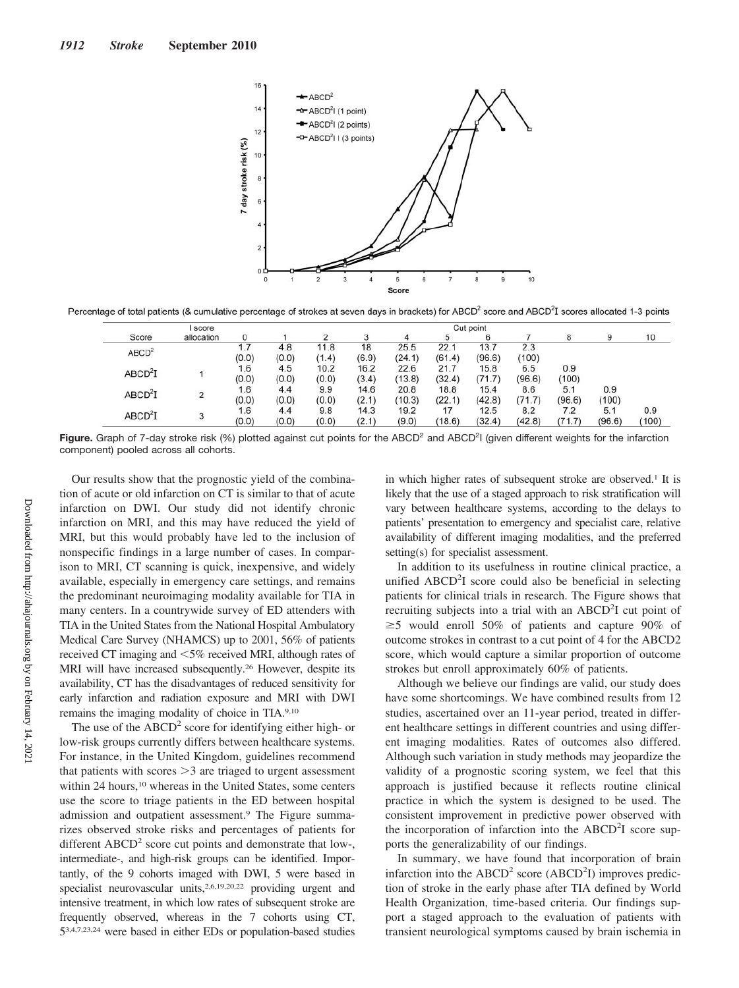

Percentage of total patients (& cumulative percentage of strokes at seven days in brackets) for ABCD<sup>2</sup> score and ABCD<sup>2</sup>I scores allocated 1-3 points

| I score             |                |       |       | Cut point |       |        |        |        |        |        |        |              |
|---------------------|----------------|-------|-------|-----------|-------|--------|--------|--------|--------|--------|--------|--------------|
| Score               | allocation     |       |       |           |       |        |        |        |        |        | 9      | 10           |
| ABCD <sup>2</sup>   |                |       | 4.8   | 11.8      | 18    | 25.5   | 22.1   | 13.7   | 2.3    |        |        |              |
|                     |                | (0.0) | (0.0) | (1.4)     | (6.9) | (24.1) | (61.4) | (96.6) | (100)  |        |        | 0.9<br>(100) |
|                     |                | 1.6   | 4.5   | 10.2      | 16.2  | 22.6   | 21.7   | 15.8   | 6.5    | 0.9    |        |              |
| ABCD <sup>2</sup> I |                | (0.0) | (0.0) | (0.0)     | (3.4) | (13.8) | (32.4) | (71.7) | (96.6) | (100)  |        |              |
| ABCD <sup>2</sup> I | $\overline{2}$ | 1.6   | 4.4   | 9.9       | 14.6  | 20.8   | 18.8   | 15.4   | 8.6    | 5.1    | 0.9    |              |
|                     |                | (0.0) | (0.0) | (0.0)     | (2.1) | (10.3) | (22.1) | (42.8) | (71.7) | (96.6) | (100)  |              |
| ABCD <sup>2</sup> I |                | 1.6   | 4.4   | 9.8       | 14.3  | 19.2   | 17     | 12.5   | 8.2    | 7.2    | 5.1    |              |
|                     | 3              | (0.0) | (0.0) | (0.0)     | (2.1) | (9.0)  | (18.6) | (32.4) | (42.8) | (71.7) | (96.6) |              |

Figure. Graph of 7-day stroke risk (%) plotted against cut points for the ABCD<sup>2</sup> and ABCD<sup>2</sup>I (given different weights for the infarction component) pooled across all cohorts.

Our results show that the prognostic yield of the combination of acute or old infarction on CT is similar to that of acute infarction on DWI. Our study did not identify chronic infarction on MRI, and this may have reduced the yield of MRI, but this would probably have led to the inclusion of nonspecific findings in a large number of cases. In comparison to MRI, CT scanning is quick, inexpensive, and widely available, especially in emergency care settings, and remains the predominant neuroimaging modality available for TIA in many centers. In a countrywide survey of ED attenders with TIA in the United States from the National Hospital Ambulatory Medical Care Survey (NHAMCS) up to 2001, 56% of patients received CT imaging and <5% received MRI, although rates of MRI will have increased subsequently.<sup>26</sup> However, despite its availability, CT has the disadvantages of reduced sensitivity for early infarction and radiation exposure and MRI with DWI remains the imaging modality of choice in TIA.9,10

The use of the  $ABCD<sup>2</sup>$  score for identifying either high- or low-risk groups currently differs between healthcare systems. For instance, in the United Kingdom, guidelines recommend that patients with scores  $>3$  are triaged to urgent assessment within 24 hours,<sup>10</sup> whereas in the United States, some centers use the score to triage patients in the ED between hospital admission and outpatient assessment.9 The Figure summarizes observed stroke risks and percentages of patients for different  $ABCD<sup>2</sup>$  score cut points and demonstrate that low-, intermediate-, and high-risk groups can be identified. Importantly, of the 9 cohorts imaged with DWI, 5 were based in specialist neurovascular units,<sup>2,6,19,20,22</sup> providing urgent and intensive treatment, in which low rates of subsequent stroke are frequently observed, whereas in the 7 cohorts using CT, 53,4,7,23,24 were based in either EDs or population-based studies in which higher rates of subsequent stroke are observed.<sup>1</sup> It is likely that the use of a staged approach to risk stratification will vary between healthcare systems, according to the delays to patients' presentation to emergency and specialist care, relative availability of different imaging modalities, and the preferred setting(s) for specialist assessment.

In addition to its usefulness in routine clinical practice, a unified ABCD<sup>2</sup>I score could also be beneficial in selecting patients for clinical trials in research. The Figure shows that recruiting subjects into a trial with an ABCD<sup>2</sup>I cut point of  $\geq$ 5 would enroll 50% of patients and capture 90% of outcome strokes in contrast to a cut point of 4 for the ABCD2 score, which would capture a similar proportion of outcome strokes but enroll approximately 60% of patients.

Although we believe our findings are valid, our study does have some shortcomings. We have combined results from 12 studies, ascertained over an 11-year period, treated in different healthcare settings in different countries and using different imaging modalities. Rates of outcomes also differed. Although such variation in study methods may jeopardize the validity of a prognostic scoring system, we feel that this approach is justified because it reflects routine clinical practice in which the system is designed to be used. The consistent improvement in predictive power observed with the incorporation of infarction into the ABCD<sup>2</sup>I score supports the generalizability of our findings.

In summary, we have found that incorporation of brain infarction into the  $ABCD^2$  score (ABCD<sup>2</sup>I) improves prediction of stroke in the early phase after TIA defined by World Health Organization, time-based criteria. Our findings support a staged approach to the evaluation of patients with transient neurological symptoms caused by brain ischemia in